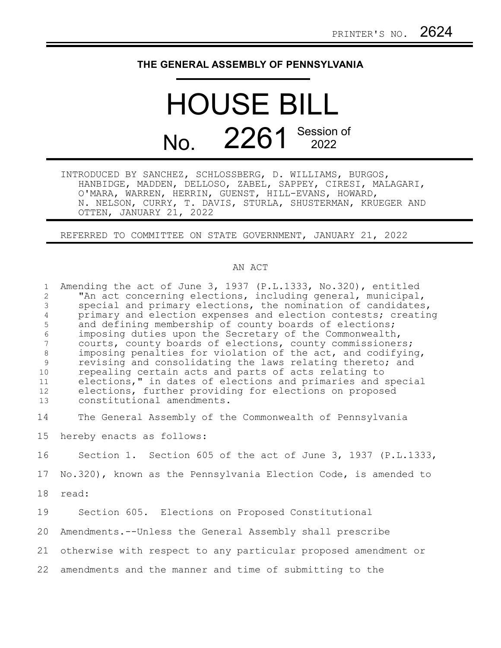## **THE GENERAL ASSEMBLY OF PENNSYLVANIA**

## HOUSE BILL No. 2261 Session of

INTRODUCED BY SANCHEZ, SCHLOSSBERG, D. WILLIAMS, BURGOS, HANBIDGE, MADDEN, DELLOSO, ZABEL, SAPPEY, CIRESI, MALAGARI, O'MARA, WARREN, HERRIN, GUENST, HILL-EVANS, HOWARD, N. NELSON, CURRY, T. DAVIS, STURLA, SHUSTERMAN, KRUEGER AND OTTEN, JANUARY 21, 2022

REFERRED TO COMMITTEE ON STATE GOVERNMENT, JANUARY 21, 2022

## AN ACT

Amending the act of June 3, 1937 (P.L.1333, No.320), entitled "An act concerning elections, including general, municipal, special and primary elections, the nomination of candidates, primary and election expenses and election contests; creating and defining membership of county boards of elections; imposing duties upon the Secretary of the Commonwealth, courts, county boards of elections, county commissioners; imposing penalties for violation of the act, and codifying, revising and consolidating the laws relating thereto; and repealing certain acts and parts of acts relating to elections," in dates of elections and primaries and special elections, further providing for elections on proposed constitutional amendments. The General Assembly of the Commonwealth of Pennsylvania hereby enacts as follows: Section 1. Section 605 of the act of June 3, 1937 (P.L.1333, No.320), known as the Pennsylvania Election Code, is amended to read: Section 605. Elections on Proposed Constitutional Amendments.--Unless the General Assembly shall prescribe otherwise with respect to any particular proposed amendment or 21 amendments and the manner and time of submitting to the 221 2 3 4 5 6 7 8 9 10 11 12 13 14 15 16 17 18 19 20